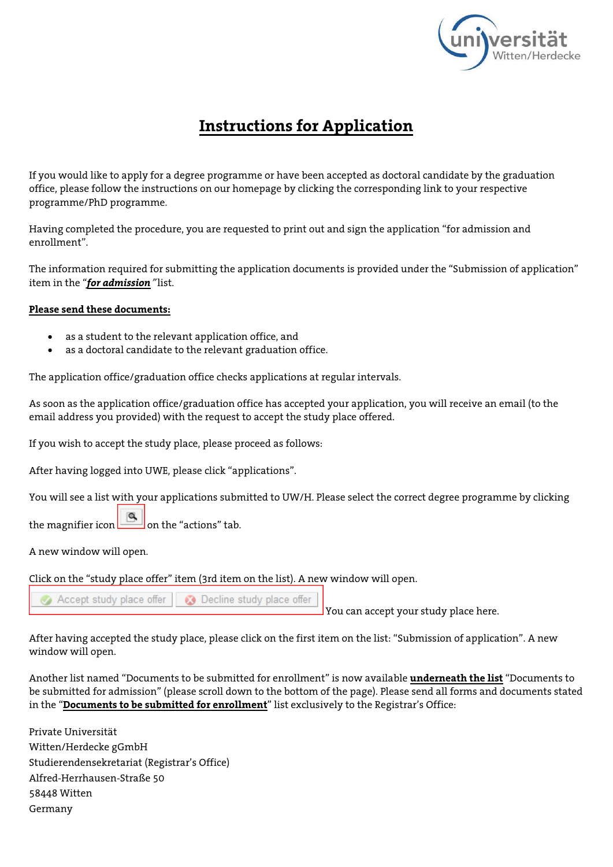

## **Instructions for Application**

If you would like to apply for a degree programme or have been accepted as doctoral candidate by the graduation office, please follow the instructions on our homepage by clicking the corresponding link to your respective programme/PhD programme.

Having completed the procedure, you are requested to print out and sign the application "for admission and enrollment".

The information required for submitting the application documents is provided under the "Submission of application" item in the "*for admission*" list.

## **Please send these documents:**

- as a student to the relevant application office, and
- as a doctoral candidate to the relevant graduation office.

The application office/graduation office checks applications at regular intervals.

As soon as the application office/graduation office has accepted your application, you will receive an email (to the email address you provided) with the request to accept the study place offered.

If you wish to accept the study place, please proceed as follows:

After having logged into UWE, please click "applications".

You will see a list with your applications submitted to UW/H. Please select the correct degree programme by clicking

the magnifier icon  $\Box$  on the "actions" tab.

A new window will open.

Click on the "study place offer" item (3rd item on the list). A new window will open.

Accept study place offer | a Decline study place offer

You can accept your study place here.

After having accepted the study place, please click on the first item on the list: "Submission of application". A new window will open.

Another list named "Documents to be submitted for enrollment" is now available **underneath the list** "Documents to be submitted for admission" (please scroll down to the bottom of the page). Please send all forms and documents stated in the "**Documents to be submitted for enrollment**" list exclusively to the Registrar's Office:

Private Universität Witten/Herdecke gGmbH Studierendensekretariat (Registrar's Office) Alfred-Herrhausen-Straße 50 58448 Witten Germany